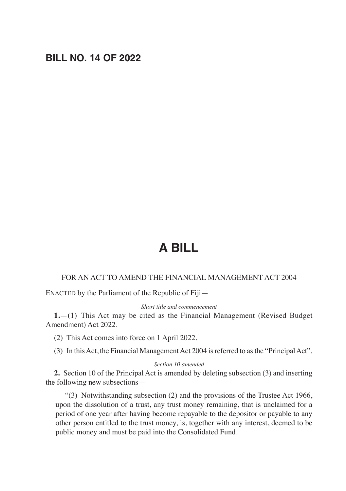# **BILL NO. 14 OF 2022**

# **A BILL**

#### FOR AN ACT TO AMEND THE FINANCIAL MANAGEMENT ACT 2004

ENACTED by the Parliament of the Republic of Fiji—

*Short title and commencement*

**1.**—(1) This Act may be cited as the Financial Management (Revised Budget Amendment) Act 2022.

(2) This Act comes into force on 1 April 2022.

(3) In this Act, the Financial Management Act 2004 is referred to as the "Principal Act".

#### *Section 10 amended*

**2.** Section 10 of the Principal Act is amended by deleting subsection (3) and inserting the following new subsections—

"(3) Notwithstanding subsection (2) and the provisions of the Trustee Act 1966, upon the dissolution of a trust, any trust money remaining, that is unclaimed for a period of one year after having become repayable to the depositor or payable to any other person entitled to the trust money, is, together with any interest, deemed to be public money and must be paid into the Consolidated Fund.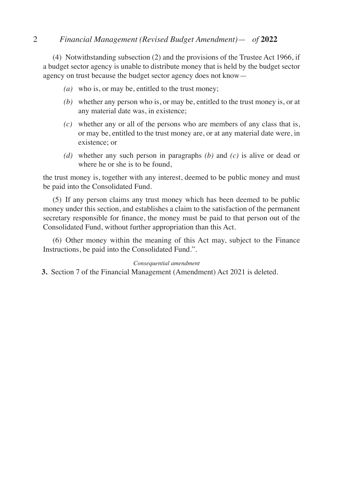## 2 *Financial Management (Revised Budget Amendment)*— *of* **2022**

(4) Notwithstanding subsection (2) and the provisions of the Trustee Act 1966, if a budget sector agency is unable to distribute money that is held by the budget sector agency on trust because the budget sector agency does not know—

- *(a)* who is, or may be, entitled to the trust money;
- *(b)* whether any person who is, or may be, entitled to the trust money is, or at any material date was, in existence;
- *(c)* whether any or all of the persons who are members of any class that is, or may be, entitled to the trust money are, or at any material date were, in existence; or
- *(d)* whether any such person in paragraphs *(b)* and *(c)* is alive or dead or where he or she is to be found,

the trust money is, together with any interest, deemed to be public money and must be paid into the Consolidated Fund.

(5) If any person claims any trust money which has been deemed to be public money under this section, and establishes a claim to the satisfaction of the permanent secretary responsible for finance, the money must be paid to that person out of the Consolidated Fund, without further appropriation than this Act.

(6) Other money within the meaning of this Act may, subject to the Finance Instructions, be paid into the Consolidated Fund.".

### *Consequential amendment*

**3.** Section 7 of the Financial Management (Amendment) Act 2021 is deleted.